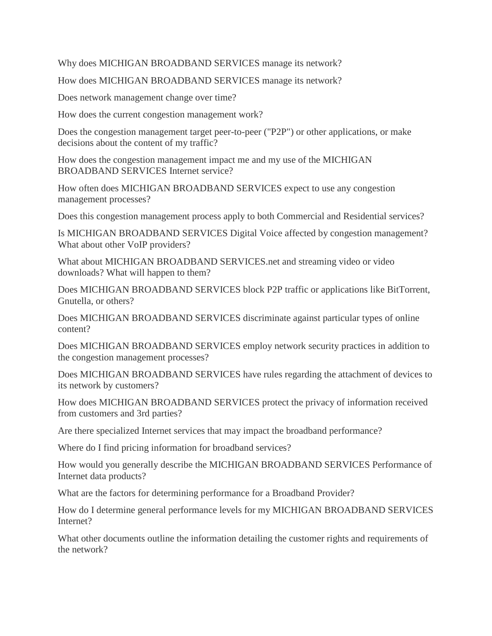Why does MICHIGAN BROADBAND SERVICES manage its network?

How does MICHIGAN BROADBAND SERVICES manage its network?

Does network management change over time?

How does the current congestion management work?

Does the congestion management target peer-to-peer ("P2P") or other applications, or make decisions about the content of my traffic?

How does the congestion management impact me and my use of the MICHIGAN BROADBAND SERVICES Internet service?

How often does MICHIGAN BROADBAND SERVICES expect to use any congestion management processes?

Does this congestion management process apply to both Commercial and Residential services?

Is MICHIGAN BROADBAND SERVICES Digital Voice affected by congestion management? What about other VoIP providers?

What about MICHIGAN BROADBAND SERVICES.net and streaming video or video downloads? What will happen to them?

Does MICHIGAN BROADBAND SERVICES block P2P traffic or applications like BitTorrent, Gnutella, or others?

Does MICHIGAN BROADBAND SERVICES discriminate against particular types of online content?

Does MICHIGAN BROADBAND SERVICES employ network security practices in addition to the congestion management processes?

Does MICHIGAN BROADBAND SERVICES have rules regarding the attachment of devices to its network by customers?

How does MICHIGAN BROADBAND SERVICES protect the privacy of information received from customers and 3rd parties?

Are there specialized Internet services that may impact the broadband performance?

Where do I find pricing information for broadband services?

How would you generally describe the MICHIGAN BROADBAND SERVICES Performance of Internet data products?

What are the factors for determining performance for a Broadband Provider?

How do I determine general performance levels for my MICHIGAN BROADBAND SERVICES Internet?

What other documents outline the information detailing the customer rights and requirements of the network?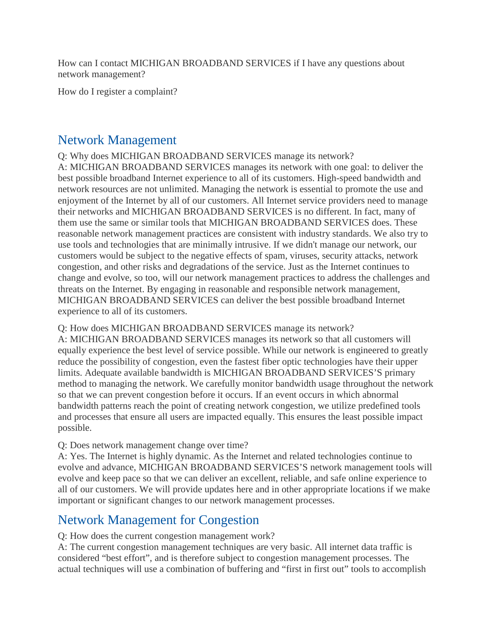How can I contact MICHIGAN BROADBAND SERVICES if I have any questions about network management?

How do I register a complaint?

#### Network Management

Q: Why does MICHIGAN BROADBAND SERVICES manage its network? A: MICHIGAN BROADBAND SERVICES manages its network with one goal: to deliver the best possible broadband Internet experience to all of its customers. High-speed bandwidth and network resources are not unlimited. Managing the network is essential to promote the use and enjoyment of the Internet by all of our customers. All Internet service providers need to manage their networks and MICHIGAN BROADBAND SERVICES is no different. In fact, many of them use the same or similar tools that MICHIGAN BROADBAND SERVICES does. These reasonable network management practices are consistent with industry standards. We also try to use tools and technologies that are minimally intrusive. If we didn't manage our network, our customers would be subject to the negative effects of spam, viruses, security attacks, network congestion, and other risks and degradations of the service. Just as the Internet continues to change and evolve, so too, will our network management practices to address the challenges and threats on the Internet. By engaging in reasonable and responsible network management, MICHIGAN BROADBAND SERVICES can deliver the best possible broadband Internet experience to all of its customers.

Q: How does MICHIGAN BROADBAND SERVICES manage its network?

A: MICHIGAN BROADBAND SERVICES manages its network so that all customers will equally experience the best level of service possible. While our network is engineered to greatly reduce the possibility of congestion, even the fastest fiber optic technologies have their upper limits. Adequate available bandwidth is MICHIGAN BROADBAND SERVICES'S primary method to managing the network. We carefully monitor bandwidth usage throughout the network so that we can prevent congestion before it occurs. If an event occurs in which abnormal bandwidth patterns reach the point of creating network congestion, we utilize predefined tools and processes that ensure all users are impacted equally. This ensures the least possible impact possible.

#### Q: Does network management change over time?

A: Yes. The Internet is highly dynamic. As the Internet and related technologies continue to evolve and advance, MICHIGAN BROADBAND SERVICES'S network management tools will evolve and keep pace so that we can deliver an excellent, reliable, and safe online experience to all of our customers. We will provide updates here and in other appropriate locations if we make important or significant changes to our network management processes.

#### Network Management for Congestion

Q: How does the current congestion management work?

A: The current congestion management techniques are very basic. All internet data traffic is considered "best effort", and is therefore subject to congestion management processes. The actual techniques will use a combination of buffering and "first in first out" tools to accomplish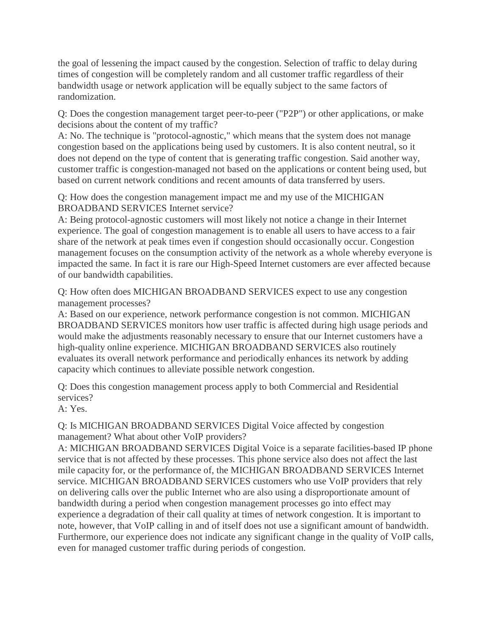the goal of lessening the impact caused by the congestion. Selection of traffic to delay during times of congestion will be completely random and all customer traffic regardless of their bandwidth usage or network application will be equally subject to the same factors of randomization.

Q: Does the congestion management target peer-to-peer ("P2P") or other applications, or make decisions about the content of my traffic?

A: No. The technique is "protocol-agnostic," which means that the system does not manage congestion based on the applications being used by customers. It is also content neutral, so it does not depend on the type of content that is generating traffic congestion. Said another way, customer traffic is congestion-managed not based on the applications or content being used, but based on current network conditions and recent amounts of data transferred by users.

Q: How does the congestion management impact me and my use of the MICHIGAN BROADBAND SERVICES Internet service?

A: Being protocol-agnostic customers will most likely not notice a change in their Internet experience. The goal of congestion management is to enable all users to have access to a fair share of the network at peak times even if congestion should occasionally occur. Congestion management focuses on the consumption activity of the network as a whole whereby everyone is impacted the same. In fact it is rare our High-Speed Internet customers are ever affected because of our bandwidth capabilities.

Q: How often does MICHIGAN BROADBAND SERVICES expect to use any congestion management processes?

A: Based on our experience, network performance congestion is not common. MICHIGAN BROADBAND SERVICES monitors how user traffic is affected during high usage periods and would make the adjustments reasonably necessary to ensure that our Internet customers have a high-quality online experience. MICHIGAN BROADBAND SERVICES also routinely evaluates its overall network performance and periodically enhances its network by adding capacity which continues to alleviate possible network congestion.

Q: Does this congestion management process apply to both Commercial and Residential services?

A: Yes.

Q: Is MICHIGAN BROADBAND SERVICES Digital Voice affected by congestion management? What about other VoIP providers?

A: MICHIGAN BROADBAND SERVICES Digital Voice is a separate facilities-based IP phone service that is not affected by these processes. This phone service also does not affect the last mile capacity for, or the performance of, the MICHIGAN BROADBAND SERVICES Internet service. MICHIGAN BROADBAND SERVICES customers who use VoIP providers that rely on delivering calls over the public Internet who are also using a disproportionate amount of bandwidth during a period when congestion management processes go into effect may experience a degradation of their call quality at times of network congestion. It is important to note, however, that VoIP calling in and of itself does not use a significant amount of bandwidth. Furthermore, our experience does not indicate any significant change in the quality of VoIP calls, even for managed customer traffic during periods of congestion.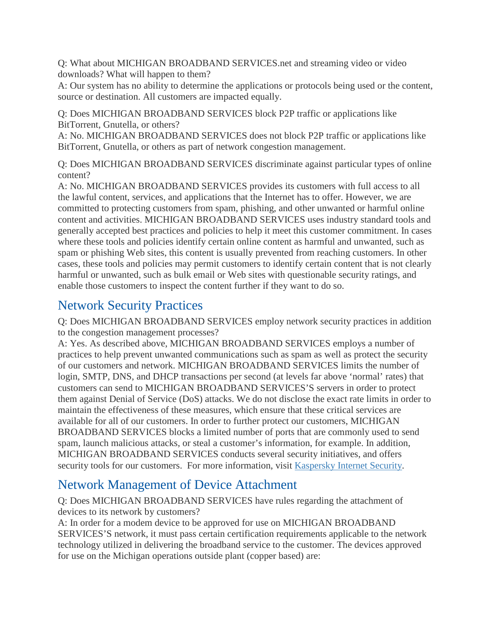Q: What about MICHIGAN BROADBAND SERVICES.net and streaming video or video downloads? What will happen to them?

A: Our system has no ability to determine the applications or protocols being used or the content, source or destination. All customers are impacted equally.

Q: Does MICHIGAN BROADBAND SERVICES block P2P traffic or applications like BitTorrent, Gnutella, or others?

A: No. MICHIGAN BROADBAND SERVICES does not block P2P traffic or applications like BitTorrent, Gnutella, or others as part of network congestion management.

Q: Does MICHIGAN BROADBAND SERVICES discriminate against particular types of online content?

A: No. MICHIGAN BROADBAND SERVICES provides its customers with full access to all the lawful content, services, and applications that the Internet has to offer. However, we are committed to protecting customers from spam, phishing, and other unwanted or harmful online content and activities. MICHIGAN BROADBAND SERVICES uses industry standard tools and generally accepted best practices and policies to help it meet this customer commitment. In cases where these tools and policies identify certain online content as harmful and unwanted, such as spam or phishing Web sites, this content is usually prevented from reaching customers. In other cases, these tools and policies may permit customers to identify certain content that is not clearly harmful or unwanted, such as bulk email or Web sites with questionable security ratings, and enable those customers to inspect the content further if they want to do so.

# Network Security Practices

Q: Does MICHIGAN BROADBAND SERVICES employ network security practices in addition to the congestion management processes?

A: Yes. As described above, MICHIGAN BROADBAND SERVICES employs a number of practices to help prevent unwanted communications such as spam as well as protect the security of our customers and network. MICHIGAN BROADBAND SERVICES limits the number of login, SMTP, DNS, and DHCP transactions per second (at levels far above 'normal' rates) that customers can send to MICHIGAN BROADBAND SERVICES'S servers in order to protect them against Denial of Service (DoS) attacks. We do not disclose the exact rate limits in order to maintain the effectiveness of these measures, which ensure that these critical services are available for all of our customers. In order to further protect our customers, MICHIGAN BROADBAND SERVICES blocks a limited number of ports that are commonly used to send spam, launch malicious attacks, or steal a customer's information, for example. In addition, MICHIGAN BROADBAND SERVICES conducts several security initiatives, and offers security tools for our customers. For more information, visit [Kaspersky Internet Security.](http://support.surewest.com/surewest/ccil/selfservice/docdisplay.jsp?DocId=62003&SecMode=1&SearchTerms=surwest+internet+security)

# Network Management of Device Attachment

Q: Does MICHIGAN BROADBAND SERVICES have rules regarding the attachment of devices to its network by customers?

A: In order for a modem device to be approved for use on MICHIGAN BROADBAND SERVICES'S network, it must pass certain certification requirements applicable to the network technology utilized in delivering the broadband service to the customer. The devices approved for use on the Michigan operations outside plant (copper based) are: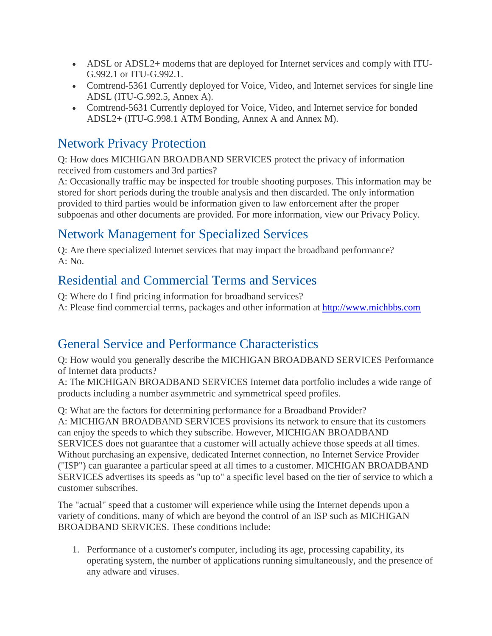- ADSL or ADSL2+ modems that are deployed for Internet services and comply with ITU-G.992.1 or ITU-G.992.1.
- Comtrend-5361 Currently deployed for Voice, Video, and Internet services for single line ADSL (ITU-G.992.5, Annex A).
- Comtrend-5631 Currently deployed for Voice, Video, and Internet service for bonded ADSL2+ (ITU-G.998.1 ATM Bonding, Annex A and Annex M).

## Network Privacy Protection

Q: How does MICHIGAN BROADBAND SERVICES protect the privacy of information received from customers and 3rd parties?

A: Occasionally traffic may be inspected for trouble shooting purposes. This information may be stored for short periods during the trouble analysis and then discarded. The only information provided to third parties would be information given to law enforcement after the proper subpoenas and other documents are provided. For more information, view our Privacy Policy.

# Network Management for Specialized Services

Q: Are there specialized Internet services that may impact the broadband performance?  $A: No.$ 

## Residential and Commercial Terms and Services

- Q: Where do I find pricing information for broadband services?
- A: Please find commercial terms, packages and other information at [http://www.michbbs.com](http://www.michbbs.com/)

# General Service and Performance Characteristics

Q: How would you generally describe the MICHIGAN BROADBAND SERVICES Performance of Internet data products?

A: The MICHIGAN BROADBAND SERVICES Internet data portfolio includes a wide range of products including a number asymmetric and symmetrical speed profiles.

Q: What are the factors for determining performance for a Broadband Provider? A: MICHIGAN BROADBAND SERVICES provisions its network to ensure that its customers can enjoy the speeds to which they subscribe. However, MICHIGAN BROADBAND SERVICES does not guarantee that a customer will actually achieve those speeds at all times. Without purchasing an expensive, dedicated Internet connection, no Internet Service Provider ("ISP") can guarantee a particular speed at all times to a customer. MICHIGAN BROADBAND SERVICES advertises its speeds as "up to" a specific level based on the tier of service to which a customer subscribes.

The "actual" speed that a customer will experience while using the Internet depends upon a variety of conditions, many of which are beyond the control of an ISP such as MICHIGAN BROADBAND SERVICES. These conditions include:

1. Performance of a customer's computer, including its age, processing capability, its operating system, the number of applications running simultaneously, and the presence of any adware and viruses.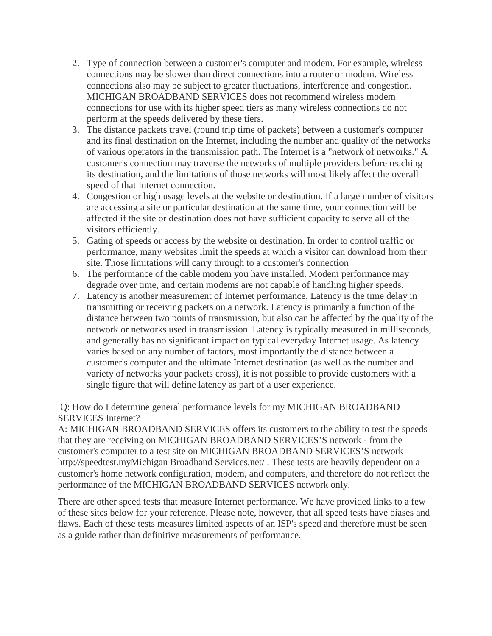- 2. Type of connection between a customer's computer and modem. For example, wireless connections may be slower than direct connections into a router or modem. Wireless connections also may be subject to greater fluctuations, interference and congestion. MICHIGAN BROADBAND SERVICES does not recommend wireless modem connections for use with its higher speed tiers as many wireless connections do not perform at the speeds delivered by these tiers.
- 3. The distance packets travel (round trip time of packets) between a customer's computer and its final destination on the Internet, including the number and quality of the networks of various operators in the transmission path. The Internet is a "network of networks." A customer's connection may traverse the networks of multiple providers before reaching its destination, and the limitations of those networks will most likely affect the overall speed of that Internet connection.
- 4. Congestion or high usage levels at the website or destination. If a large number of visitors are accessing a site or particular destination at the same time, your connection will be affected if the site or destination does not have sufficient capacity to serve all of the visitors efficiently.
- 5. Gating of speeds or access by the website or destination. In order to control traffic or performance, many websites limit the speeds at which a visitor can download from their site. Those limitations will carry through to a customer's connection
- 6. The performance of the cable modem you have installed. Modem performance may degrade over time, and certain modems are not capable of handling higher speeds.
- 7. Latency is another measurement of Internet performance. Latency is the time delay in transmitting or receiving packets on a network. Latency is primarily a function of the distance between two points of transmission, but also can be affected by the quality of the network or networks used in transmission. Latency is typically measured in milliseconds, and generally has no significant impact on typical everyday Internet usage. As latency varies based on any number of factors, most importantly the distance between a customer's computer and the ultimate Internet destination (as well as the number and variety of networks your packets cross), it is not possible to provide customers with a single figure that will define latency as part of a user experience.

Q: How do I determine general performance levels for my MICHIGAN BROADBAND SERVICES Internet?

A: MICHIGAN BROADBAND SERVICES offers its customers to the ability to test the speeds that they are receiving on MICHIGAN BROADBAND SERVICES'S network - from the customer's computer to a test site on MICHIGAN BROADBAND SERVICES'S network http://speedtest.myMichigan Broadband Services.net/ . These tests are heavily dependent on a customer's home network configuration, modem, and computers, and therefore do not reflect the performance of the MICHIGAN BROADBAND SERVICES network only.

There are other speed tests that measure Internet performance. We have provided links to a few of these sites below for your reference. Please note, however, that all speed tests have biases and flaws. Each of these tests measures limited aspects of an ISP's speed and therefore must be seen as a guide rather than definitive measurements of performance.